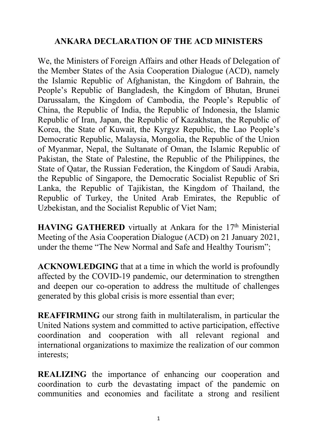## **ANKARA DECLARATION OF THE ACD MINISTERS**

We, the Ministers of Foreign Affairs and other Heads of Delegation of the Member States of the Asia Cooperation Dialogue (ACD), namely the Islamic Republic of Afghanistan, the Kingdom of Bahrain, the People's Republic of Bangladesh, the Kingdom of Bhutan, Brunei Darussalam, the Kingdom of Cambodia, the People's Republic of China, the Republic of India, the Republic of Indonesia, the Islamic Republic of Iran, Japan, the Republic of Kazakhstan, the Republic of Korea, the State of Kuwait, the Kyrgyz Republic, the Lao People's Democratic Republic, Malaysia, Mongolia, the Republic of the Union of Myanmar, Nepal, the Sultanate of Oman, the Islamic Republic of Pakistan, the State of Palestine, the Republic of the Philippines, the State of Qatar, the Russian Federation, the Kingdom of Saudi Arabia, the Republic of Singapore, the Democratic Socialist Republic of Sri Lanka, the Republic of Tajikistan, the Kingdom of Thailand, the Republic of Turkey, the United Arab Emirates, the Republic of Uzbekistan, and the Socialist Republic of Viet Nam;

**HAVING GATHERED** virtually at Ankara for the 17<sup>th</sup> Ministerial Meeting of the Asia Cooperation Dialogue (ACD) on 21 January 2021, under the theme "The New Normal and Safe and Healthy Tourism";

**ACKNOWLEDGING** that at a time in which the world is profoundly affected by the COVID-19 pandemic, our determination to strengthen and deepen our co-operation to address the multitude of challenges generated by this global crisis is more essential than ever;

**REAFFIRMING** our strong faith in multilateralism, in particular the United Nations system and committed to active participation, effective coordination and cooperation with all relevant regional and international organizations to maximize the realization of our common interests;

**REALIZING** the importance of enhancing our cooperation and coordination to curb the devastating impact of the pandemic on communities and economies and facilitate a strong and resilient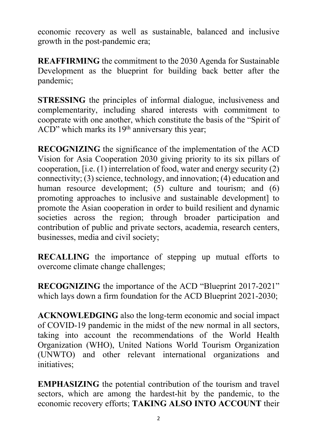economic recovery as well as sustainable, balanced and inclusive growth in the post-pandemic era;

**REAFFIRMING** the commitment to the 2030 Agenda for Sustainable Development as the blueprint for building back better after the pandemic;

**STRESSING** the principles of informal dialogue, inclusiveness and complementarity, including shared interests with commitment to cooperate with one another, which constitute the basis of the "Spirit of  $ACD'$  which marks its 19<sup>th</sup> anniversary this year;

**RECOGNIZING** the significance of the implementation of the ACD Vision for Asia Cooperation 2030 giving priority to its six pillars of cooperation, [i.e. (1) interrelation of food, water and energy security (2) connectivity; (3) science, technology, and innovation; (4) education and human resource development; (5) culture and tourism; and (6) promoting approaches to inclusive and sustainable development] to promote the Asian cooperation in order to build resilient and dynamic societies across the region; through broader participation and contribution of public and private sectors, academia, research centers, businesses, media and civil society;

**RECALLING** the importance of stepping up mutual efforts to overcome climate change challenges;

**RECOGNIZING** the importance of the ACD "Blueprint 2017-2021" which lays down a firm foundation for the ACD Blueprint 2021-2030;

**ACKNOWLEDGING** also the long-term economic and social impact of COVID-19 pandemic in the midst of the new normal in all sectors, taking into account the recommendations of the World Health Organization (WHO), United Nations World Tourism Organization (UNWTO) and other relevant international organizations and initiatives;

**EMPHASIZING** the potential contribution of the tourism and travel sectors, which are among the hardest-hit by the pandemic, to the economic recovery efforts; **TAKING ALSO INTO ACCOUNT** their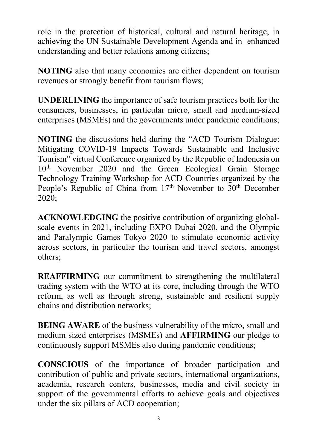role in the protection of historical, cultural and natural heritage, in achieving the UN Sustainable Development Agenda and in enhanced understanding and better relations among citizens;

**NOTING** also that many economies are either dependent on tourism revenues or strongly benefit from tourism flows;

**UNDERLINING** the importance of safe tourism practices both for the consumers, businesses, in particular micro, small and medium-sized enterprises (MSMEs) and the governments under pandemic conditions;

**NOTING** the discussions held during the "ACD Tourism Dialogue: Mitigating COVID-19 Impacts Towards Sustainable and Inclusive Tourism" virtual Conference organized by the Republic of Indonesia on 10<sup>th</sup> November 2020 and the Green Ecological Grain Storage Technology Training Workshop for ACD Countries organized by the People's Republic of China from 17<sup>th</sup> November to 30<sup>th</sup> December 2020;

**ACKNOWLEDGING** the positive contribution of organizing globalscale events in 2021, including EXPO Dubai 2020, and the Olympic and Paralympic Games Tokyo 2020 to stimulate economic activity across sectors, in particular the tourism and travel sectors, amongst others;

**REAFFIRMING** our commitment to strengthening the multilateral trading system with the WTO at its core, including through the WTO reform, as well as through strong, sustainable and resilient supply chains and distribution networks;

**BEING AWARE** of the business vulnerability of the micro, small and medium sized enterprises (MSMEs) and **AFFIRMING** our pledge to continuously support MSMEs also during pandemic conditions;

**CONSCIOUS** of the importance of broader participation and contribution of public and private sectors, international organizations, academia, research centers, businesses, media and civil society in support of the governmental efforts to achieve goals and objectives under the six pillars of ACD cooperation;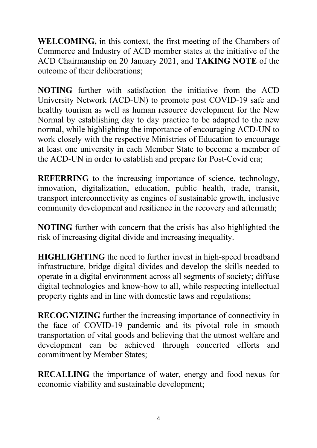**WELCOMING,** in this context, the first meeting of the Chambers of Commerce and Industry of ACD member states at the initiative of the ACD Chairmanship on 20 January 2021, and **TAKING NOTE** of the outcome of their deliberations;

**NOTING** further with satisfaction the initiative from the ACD University Network (ACD-UN) to promote post COVID-19 safe and healthy tourism as well as human resource development for the New Normal by establishing day to day practice to be adapted to the new normal, while highlighting the importance of encouraging ACD-UN to work closely with the respective Ministries of Education to encourage at least one university in each Member State to become a member of the ACD-UN in order to establish and prepare for Post-Covid era;

**REFERRING** to the increasing importance of science, technology, innovation, digitalization, education, public health, trade, transit, transport interconnectivity as engines of sustainable growth, inclusive community development and resilience in the recovery and aftermath;

**NOTING** further with concern that the crisis has also highlighted the risk of increasing digital divide and increasing inequality.

**HIGHLIGHTING** the need to further invest in high-speed broadband infrastructure, bridge digital divides and develop the skills needed to operate in a digital environment across all segments of society; diffuse digital technologies and know-how to all, while respecting intellectual property rights and in line with domestic laws and regulations;

**RECOGNIZING** further the increasing importance of connectivity in the face of COVID-19 pandemic and its pivotal role in smooth transportation of vital goods and believing that the utmost welfare and development can be achieved through concerted efforts and commitment by Member States;

**RECALLING** the importance of water, energy and food nexus for economic viability and sustainable development;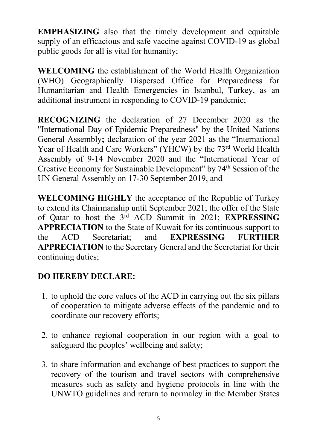**EMPHASIZING** also that the timely development and equitable supply of an efficacious and safe vaccine against COVID-19 as global public goods for all is vital for humanity;

**WELCOMING** the establishment of the World Health Organization (WHO) Geographically Dispersed Office for Preparedness for Humanitarian and Health Emergencies in Istanbul, Turkey, as an additional instrument in responding to COVID-19 pandemic;

**RECOGNIZING** the declaration of 27 December 2020 as the "International Day of Epidemic Preparedness" by the United Nations General Assembly**;** declaration of the year 2021 as the "International Year of Health and Care Workers" (YHCW) by the 73<sup>rd</sup> World Health Assembly of 9-14 November 2020 and the "International Year of Creative Economy for Sustainable Development" by 74<sup>th</sup> Session of the UN General Assembly on 17-30 September 2019, and

**WELCOMING HIGHLY** the acceptance of the Republic of Turkey to extend its Chairmanship until September 2021; the offer of the State of Qatar to host the 3rd ACD Summit in 2021; **EXPRESSING APPRECIATION** to the State of Kuwait for its continuous support to the ACD Secretariat; and **EXPRESSING FURTHER APPRECIATION** to the Secretary General and the Secretariat for their continuing duties;

## **DO HEREBY DECLARE:**

- 1. to uphold the core values of the ACD in carrying out the six pillars of cooperation to mitigate adverse effects of the pandemic and to coordinate our recovery efforts;
- 2. to enhance regional cooperation in our region with a goal to safeguard the peoples' wellbeing and safety;
- 3. to share information and exchange of best practices to support the recovery of the tourism and travel sectors with comprehensive measures such as safety and hygiene protocols in line with the UNWTO guidelines and return to normalcy in the Member States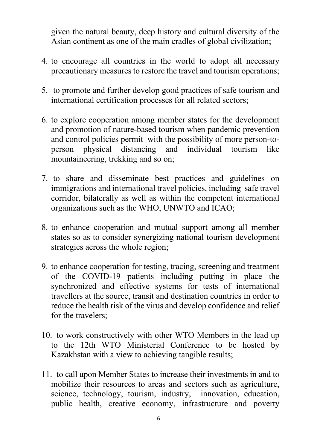given the natural beauty, deep history and cultural diversity of the Asian continent as one of the main cradles of global civilization;

- 4. to encourage all countries in the world to adopt all necessary precautionary measures to restore the travel and tourism operations;
- 5. to promote and further develop good practices of safe tourism and international certification processes for all related sectors;
- 6. to explore cooperation among member states for the development and promotion of nature-based tourism when pandemic prevention and control policies permit with the possibility of more person-toperson physical distancing and individual tourism like mountaineering, trekking and so on;
- 7. to share and disseminate best practices and guidelines on immigrations and international travel policies, including safe travel corridor, bilaterally as well as within the competent international organizations such as the WHO, UNWTO and ICAO;
- 8. to enhance cooperation and mutual support among all member states so as to consider synergizing national tourism development strategies across the whole region;
- 9. to enhance cooperation for testing, tracing, screening and treatment of the COVID-19 patients including putting in place the synchronized and effective systems for tests of international travellers at the source, transit and destination countries in order to reduce the health risk of the virus and develop confidence and relief for the travelers;
- 10. to work constructively with other WTO Members in the lead up to the 12th WTO Ministerial Conference to be hosted by Kazakhstan with a view to achieving tangible results;
- 11. to call upon Member States to increase their investments in and to mobilize their resources to areas and sectors such as agriculture, science, technology, tourism, industry, innovation, education, public health, creative economy, infrastructure and poverty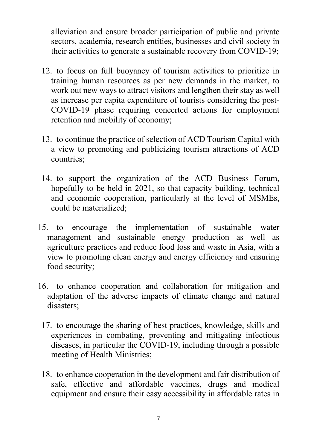alleviation and ensure broader participation of public and private sectors, academia, research entities, businesses and civil society in their activities to generate a sustainable recovery from COVID-19;

- 12. to focus on full buoyancy of tourism activities to prioritize in training human resources as per new demands in the market, to work out new ways to attract visitors and lengthen their stay as well as increase per capita expenditure of tourists considering the post-COVID-19 phase requiring concerted actions for employment retention and mobility of economy;
- 13. to continue the practice of selection of ACD Tourism Capital with a view to promoting and publicizing tourism attractions of ACD countries;
- 14. to support the organization of the ACD Business Forum, hopefully to be held in 2021, so that capacity building, technical and economic cooperation, particularly at the level of MSMEs, could be materialized;
- 15. to encourage the implementation of sustainable water management and sustainable energy production as well as agriculture practices and reduce food loss and waste in Asia, with a view to promoting clean energy and energy efficiency and ensuring food security;
- 16. to enhance cooperation and collaboration for mitigation and adaptation of the adverse impacts of climate change and natural disasters;
	- 17. to encourage the sharing of best practices, knowledge, skills and experiences in combating, preventing and mitigating infectious diseases, in particular the COVID-19, including through a possible meeting of Health Ministries;
	- 18. to enhance cooperation in the development and fair distribution of safe, effective and affordable vaccines, drugs and medical equipment and ensure their easy accessibility in affordable rates in